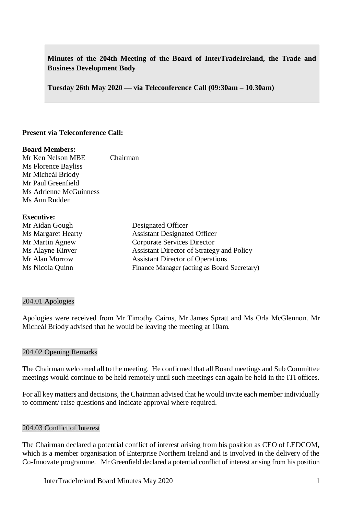# **Minutes of the 204th Meeting of the Board of InterTradeIreland, the Trade and Business Development Body**

**Tuesday 26th May 2020 –– via Teleconference Call (09:30am – 10.30am)**

### **Present via Teleconference Call:**

#### **Board Members:**

Mr Ken Nelson MBE Chairman Ms Florence Bayliss Mr Micheál Briody Mr Paul Greenfield Ms Adrienne McGuinness Ms Ann Rudden

#### **Executive:**

| Mr Aidan Gough     | Designated Officer                          |
|--------------------|---------------------------------------------|
| Ms Margaret Hearty | <b>Assistant Designated Officer</b>         |
| Mr Martin Agnew    | Corporate Services Director                 |
| Ms Alayne Kinver   | Assistant Director of Strategy and Policy   |
| Mr Alan Morrow     | <b>Assistant Director of Operations</b>     |
| Ms Nicola Quinn    | Finance Manager (acting as Board Secretary) |
|                    |                                             |

#### 204.01 Apologies

Apologies were received from Mr Timothy Cairns, Mr James Spratt and Ms Orla McGlennon. Mr Micheál Briody advised that he would be leaving the meeting at 10am.

### 204.02 Opening Remarks

The Chairman welcomed all to the meeting. He confirmed that all Board meetings and Sub Committee meetings would continue to be held remotely until such meetings can again be held in the ITI offices.

For all key matters and decisions, the Chairman advised that he would invite each member individually to comment/ raise questions and indicate approval where required.

#### 204.03 Conflict of Interest

The Chairman declared a potential conflict of interest arising from his position as CEO of LEDCOM, which is a member organisation of Enterprise Northern Ireland and is involved in the delivery of the Co-Innovate programme. Mr Greenfield declared a potential conflict of interest arising from his position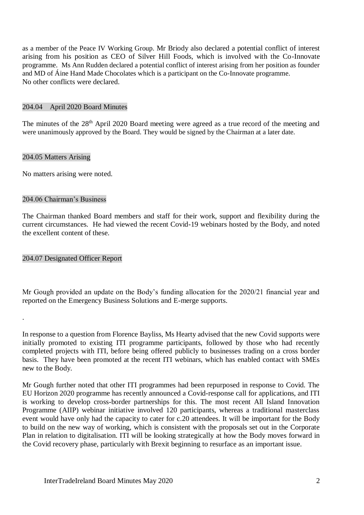as a member of the Peace IV Working Group. Mr Briody also declared a potential conflict of interest arising from his position as CEO of Silver Hill Foods, which is involved with the Co-Innovate programme. Ms Ann Rudden declared a potential conflict of interest arising from her position as founder and MD of Áine Hand Made Chocolates which is a participant on the Co-Innovate programme. No other conflicts were declared.

#### 204.04 April 2020 Board Minutes

The minutes of the 28<sup>th</sup> April 2020 Board meeting were agreed as a true record of the meeting and were unanimously approved by the Board. They would be signed by the Chairman at a later date.

#### 204.05 Matters Arising

No matters arising were noted.

#### 204.06 Chairman's Business

The Chairman thanked Board members and staff for their work, support and flexibility during the current circumstances. He had viewed the recent Covid-19 webinars hosted by the Body, and noted the excellent content of these.

### 204.07 Designated Officer Report

.

Mr Gough provided an update on the Body's funding allocation for the 2020/21 financial year and reported on the Emergency Business Solutions and E-merge supports.

In response to a question from Florence Bayliss, Ms Hearty advised that the new Covid supports were initially promoted to existing ITI programme participants, followed by those who had recently completed projects with ITI, before being offered publicly to businesses trading on a cross border basis. They have been promoted at the recent ITI webinars, which has enabled contact with SMEs new to the Body.

Mr Gough further noted that other ITI programmes had been repurposed in response to Covid. The EU Horizon 2020 programme has recently announced a Covid-response call for applications, and ITI is working to develop cross-border partnerships for this. The most recent All Island Innovation Programme (AIIP) webinar initiative involved 120 participants, whereas a traditional masterclass event would have only had the capacity to cater for c.20 attendees. It will be important for the Body to build on the new way of working, which is consistent with the proposals set out in the Corporate Plan in relation to digitalisation. ITI will be looking strategically at how the Body moves forward in the Covid recovery phase, particularly with Brexit beginning to resurface as an important issue.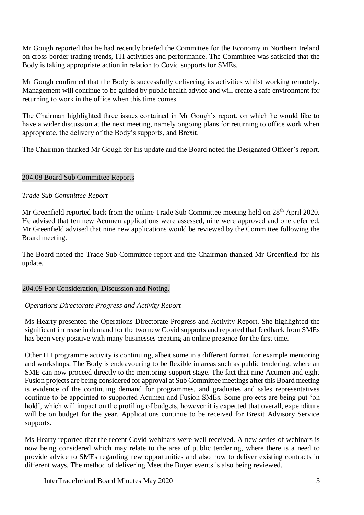Mr Gough reported that he had recently briefed the Committee for the Economy in Northern Ireland on cross-border trading trends, ITI activities and performance. The Committee was satisfied that the Body is taking appropriate action in relation to Covid supports for SMEs.

Mr Gough confirmed that the Body is successfully delivering its activities whilst working remotely. Management will continue to be guided by public health advice and will create a safe environment for returning to work in the office when this time comes.

The Chairman highlighted three issues contained in Mr Gough's report, on which he would like to have a wider discussion at the next meeting, namely ongoing plans for returning to office work when appropriate, the delivery of the Body's supports, and Brexit.

The Chairman thanked Mr Gough for his update and the Board noted the Designated Officer's report.

### 204.08 Board Sub Committee Reports

### *Trade Sub Committee Report*

Mr Greenfield reported back from the online Trade Sub Committee meeting held on 28<sup>th</sup> April 2020. He advised that ten new Acumen applications were assessed, nine were approved and one deferred. Mr Greenfield advised that nine new applications would be reviewed by the Committee following the Board meeting.

The Board noted the Trade Sub Committee report and the Chairman thanked Mr Greenfield for his update.

#### 204.09 For Consideration, Discussion and Noting.

# *Operations Directorate Progress and Activity Report*

Ms Hearty presented the Operations Directorate Progress and Activity Report. She highlighted the significant increase in demand for the two new Covid supports and reported that feedback from SMEs has been very positive with many businesses creating an online presence for the first time.

Other ITI programme activity is continuing, albeit some in a different format, for example mentoring and workshops. The Body is endeavouring to be flexible in areas such as public tendering, where an SME can now proceed directly to the mentoring support stage. The fact that nine Acumen and eight Fusion projects are being considered for approval at Sub Committee meetings after this Board meeting is evidence of the continuing demand for programmes, and graduates and sales representatives continue to be appointed to supported Acumen and Fusion SMEs. Some projects are being put 'on hold', which will impact on the profiling of budgets, however it is expected that overall, expenditure will be on budget for the year. Applications continue to be received for Brexit Advisory Service supports.

Ms Hearty reported that the recent Covid webinars were well received. A new series of webinars is now being considered which may relate to the area of public tendering, where there is a need to provide advice to SMEs regarding new opportunities and also how to deliver existing contracts in different ways. The method of delivering Meet the Buyer events is also being reviewed.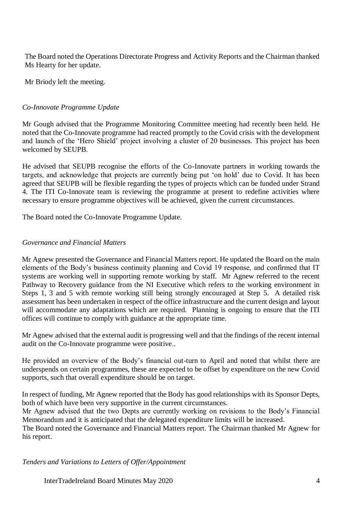The Board noted the Operations Directorate Progress and Activity Reports and the Chairman thanked Ms Hearty for her update.

Mr Briody left the meeting.

### *Co-Innovate Programme Update*

Mr Gough advised that the Programme Monitoring Committee meeting had recently been held. He noted that the Co-Innovate programme had reacted promptly to the Covid crisis with the development and launch of the 'Hero Shield' project involving a cluster of 20 businesses. This project has been welcomed by SEUPB.

He advised that SEUPB recognise the efforts of the Co-Innovate partners in working towards the targets, and acknowledge that projects are currently being put 'on hold' due to Covid. It has been agreed that SEUPB will be flexible regarding the types of projects which can be funded under Strand 4. The ITI Co-Innovate team is reviewing the programme at present to redefine activities where necessary to ensure programme objectives will be achieved, given the current circumstances.

The Board noted the Co-Innovate Programme Update.

### *Governance and Financial Matters*

Mr Agnew presented the Governance and Financial Matters report. He updated the Board on the main elements of the Body's business continuity planning and Covid 19 response, and confirmed that IT systems are working well in supporting remote working by staff. Mr Agnew referred to the recent Pathway to Recovery guidance from the NI Executive which refers to the working environment in Steps 1, 3 and 5 with remote working still being strongly encouraged at Step 5. A detailed risk assessment has been undertaken in respect of the office infrastructure and the current design and layout will accommodate any adaptations which are required. Planning is ongoing to ensure that the ITI offices will continue to comply with guidance at the appropriate time.

Mr Agnew advised that the external audit is progressing well and that the findings of the recent internal audit on the Co-Innovate programme were positive..

He provided an overview of the Body's financial out-turn to April and noted that whilst there are underspends on certain programmes, these are expected to be offset by expenditure on the new Covid supports, such that overall expenditure should be on target.

In respect of funding, Mr Agnew reported that the Body has good relationships with its Sponsor Depts, both of which have been very supportive in the current circumstances.

Mr Agnew advised that the two Depts are currently working on revisions to the Body's Financial Memorandum and it is anticipated that the delegated expenditure limits will be increased.

The Board noted the Governance and Financial Matters report. The Chairman thanked Mr Agnew for his report.

*Tenders and Variations to Letters of Offer/Appointment*

InterTradeIreland Board Minutes May 2020 4